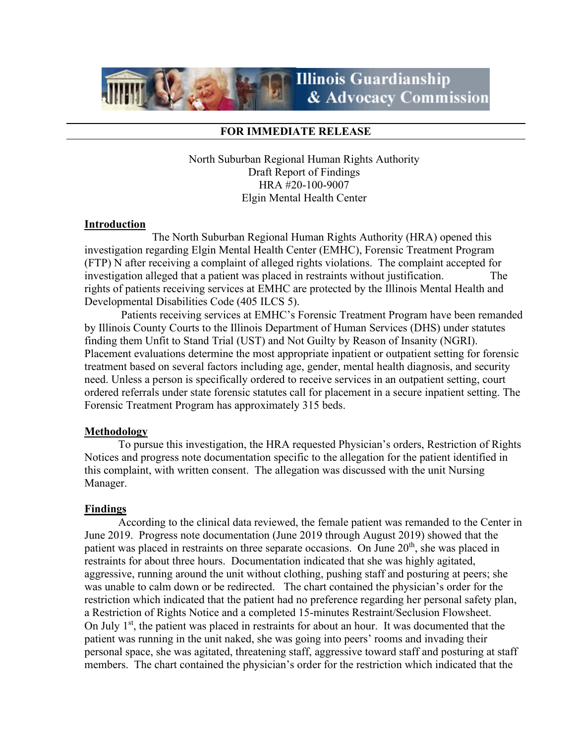

#### **FOR IMMEDIATE RELEASE**

North Suburban Regional Human Rights Authority Draft Report of Findings HRA #20-100-9007 Elgin Mental Health Center

#### **Introduction**

The North Suburban Regional Human Rights Authority (HRA) opened this investigation regarding Elgin Mental Health Center (EMHC), Forensic Treatment Program (FTP) N after receiving a complaint of alleged rights violations. The complaint accepted for investigation alleged that a patient was placed in restraints without justification. The rights of patients receiving services at EMHC are protected by the Illinois Mental Health and Developmental Disabilities Code (405 ILCS 5).

 Patients receiving services at EMHC's Forensic Treatment Program have been remanded by Illinois County Courts to the Illinois Department of Human Services (DHS) under statutes finding them Unfit to Stand Trial (UST) and Not Guilty by Reason of Insanity (NGRI). Placement evaluations determine the most appropriate inpatient or outpatient setting for forensic treatment based on several factors including age, gender, mental health diagnosis, and security need. Unless a person is specifically ordered to receive services in an outpatient setting, court ordered referrals under state forensic statutes call for placement in a secure inpatient setting. The Forensic Treatment Program has approximately 315 beds.

### **Methodology**

 To pursue this investigation, the HRA requested Physician's orders, Restriction of Rights Notices and progress note documentation specific to the allegation for the patient identified in this complaint, with written consent. The allegation was discussed with the unit Nursing Manager.

### **Findings**

According to the clinical data reviewed, the female patient was remanded to the Center in June 2019. Progress note documentation (June 2019 through August 2019) showed that the patient was placed in restraints on three separate occasions. On June  $20<sup>th</sup>$ , she was placed in restraints for about three hours. Documentation indicated that she was highly agitated, aggressive, running around the unit without clothing, pushing staff and posturing at peers; she was unable to calm down or be redirected. The chart contained the physician's order for the restriction which indicated that the patient had no preference regarding her personal safety plan, a Restriction of Rights Notice and a completed 15-minutes Restraint/Seclusion Flowsheet. On July  $1<sup>st</sup>$ , the patient was placed in restraints for about an hour. It was documented that the patient was running in the unit naked, she was going into peers' rooms and invading their personal space, she was agitated, threatening staff, aggressive toward staff and posturing at staff members. The chart contained the physician's order for the restriction which indicated that the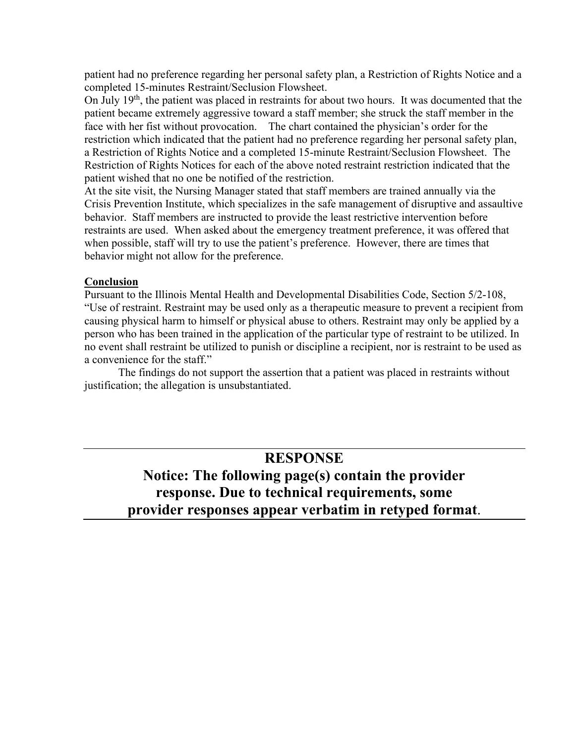patient had no preference regarding her personal safety plan, a Restriction of Rights Notice and a completed 15-minutes Restraint/Seclusion Flowsheet.

On July  $19<sup>th</sup>$ , the patient was placed in restraints for about two hours. It was documented that the patient became extremely aggressive toward a staff member; she struck the staff member in the face with her fist without provocation. The chart contained the physician's order for the restriction which indicated that the patient had no preference regarding her personal safety plan, a Restriction of Rights Notice and a completed 15-minute Restraint/Seclusion Flowsheet. The Restriction of Rights Notices for each of the above noted restraint restriction indicated that the patient wished that no one be notified of the restriction.

At the site visit, the Nursing Manager stated that staff members are trained annually via the Crisis Prevention Institute, which specializes in the safe management of disruptive and assaultive behavior. Staff members are instructed to provide the least restrictive intervention before restraints are used. When asked about the emergency treatment preference, it was offered that when possible, staff will try to use the patient's preference. However, there are times that behavior might not allow for the preference.

## **Conclusion**

Pursuant to the Illinois Mental Health and Developmental Disabilities Code, Section 5/2-108, "Use of restraint. Restraint may be used only as a therapeutic measure to prevent a recipient from causing physical harm to himself or physical abuse to others. Restraint may only be applied by a person who has been trained in the application of the particular type of restraint to be utilized. In no event shall restraint be utilized to punish or discipline a recipient, nor is restraint to be used as a convenience for the staff."

The findings do not support the assertion that a patient was placed in restraints without justification; the allegation is unsubstantiated.

# **RESPONSE**

# **Notice: The following page(s) contain the provider response. Due to technical requirements, some provider responses appear verbatim in retyped format**.